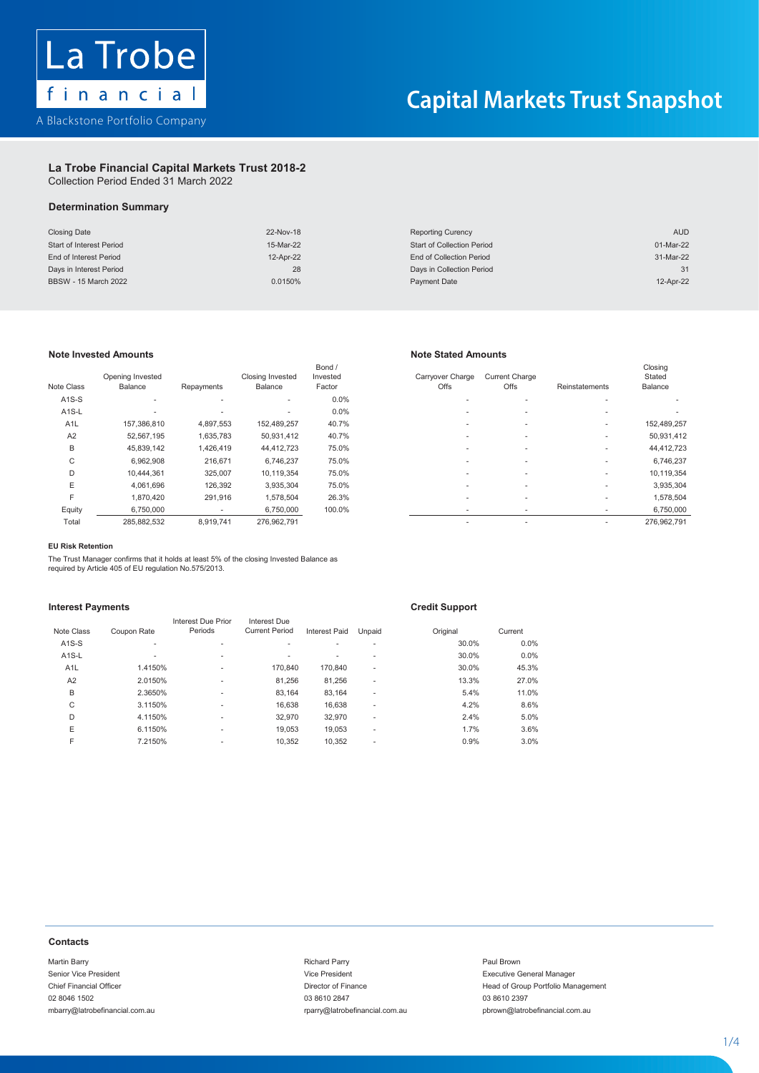

## **La Trobe Financial Capital Markets Trust 2018-2 La Trobe Financial Capital Markets Trust 2018-2**

Collection Period Ended 31 March 2022 Collection Period Ended 31 March 2022 Collection Period Ended 31 March 2022

## **Determination Summary Determination Summary Summary**

| <b>Closing Date</b>      | 22-Nov-18 | <b>Reporting Curency</b>          | <b>AUD</b> |
|--------------------------|-----------|-----------------------------------|------------|
| Start of Interest Period | 15-Mar-22 | <b>Start of Collection Period</b> | 01-Mar-22  |
| End of Interest Period   | 12-Apr-22 | End of Collection Period          | 31-Mar-22  |
| Days in Interest Period  | 28        | Days in Collection Period         | 31         |
| BBSW - 15 March 2022     | 0.0150%   | Payment Date                      | 12-Apr-22  |

### **Note Invested Amounts Note Stated Amounts Note Stated Amounts**

|                    | Opening Invested |              | Closing Invested | Bond /<br>Invested | Carryover Charge | <b>Current Charge</b>    |                          | Closing<br>Stated        |
|--------------------|------------------|--------------|------------------|--------------------|------------------|--------------------------|--------------------------|--------------------------|
| Note Class         | Balance          | Repayments   | Balance          | Factor             | Offs             | Offs                     | Reinstatements           | Balance                  |
| $A1S-S$            | ٠                | $\mathbf{r}$ | ٠                | 0.0%               |                  |                          |                          |                          |
| A <sub>1</sub> S-L | ٠                | ۰            | ٠                | 0.0%               | ۰                | $\overline{\phantom{a}}$ | $\mathbf{r}$             | $\overline{\phantom{a}}$ |
| A <sub>1</sub> L   | 157,386,810      | 4,897,553    | 152,489,257      | 40.7%              | ۰                |                          | $\mathbf{r}$             | 152,489,257              |
| A <sub>2</sub>     | 52.567.195       | 1,635,783    | 50,931,412       | 40.7%              |                  |                          | $\overline{\phantom{a}}$ | 50,931,412               |
| B                  | 45,839,142       | 1,426,419    | 44,412,723       | 75.0%              | ۰                |                          | $\mathbf{r}$             | 44,412,723               |
| C                  | 6,962,908        | 216,671      | 6,746,237        | 75.0%              | ۰                |                          | $\mathbf{r}$             | 6,746,237                |
| D                  | 10,444,361       | 325,007      | 10,119,354       | 75.0%              |                  |                          | $\mathbf{r}$             | 10,119,354               |
| E                  | 4.061.696        | 126,392      | 3,935,304        | 75.0%              |                  |                          | $\mathbf{r}$             | 3,935,304                |
| E                  | 1.870.420        | 291,916      | 1,578,504        | 26.3%              | ۰                |                          | $\mathbf{r}$             | 1,578,504                |
| Equity             | 6,750,000        | ۰            | 6,750,000        | 100.0%             | ۰                |                          | ٠                        | 6,750,000                |
| Total              | 285 882 532      | 8919741      | 276 962 791      |                    | ۰                |                          | $\mathbf{r}$             | 276 962 791              |

|                  | Opening Invested |              | <b>Closing Invested</b> | Bond /<br>Invested | Carryover Charge | <b>Current Charge</b>    |                          | Closing<br>Stated |
|------------------|------------------|--------------|-------------------------|--------------------|------------------|--------------------------|--------------------------|-------------------|
| Class            | Balance          | Repayments   | Balance                 | Factor             | Offs             | Offs                     | Reinstatements           | Balance           |
| <b>A1S-S</b>     | ×.               | $\mathbf{r}$ | $\sim$                  | $0.0\%$            | ۰                | $\sim$                   | $\overline{\phantom{a}}$ |                   |
| <b>A1S-L</b>     |                  |              |                         | $0.0\%$            |                  | $\overline{\phantom{a}}$ |                          |                   |
| A <sub>1</sub> L | 157,386,810      | 4,897,553    | 152,489,257             | 40.7%              |                  |                          |                          | 152,489,257       |
| A2               | 52,567,195       | 1,635,783    | 50,931,412              | 40.7%              |                  | $\overline{\phantom{a}}$ |                          | 50,931,412        |
| B                | 45,839,142       | 1,426,419    | 44,412,723              | 75.0%              | ۰                | $\overline{\phantom{a}}$ |                          | 44,412,723        |
| C                | 6,962,908        | 216,671      | 6,746,237               | 75.0%              |                  | -                        |                          | 6,746,237         |
| D                | 10.444.361       | 325,007      | 10,119,354              | 75.0%              |                  | ۰                        |                          | 10,119,354        |
| E                | 4,061,696        | 126,392      | 3,935,304               | 75.0%              | ۰                | ۰                        |                          | 3,935,304         |
| F                | 1.870.420        | 291,916      | 1,578,504               | 26.3%              | ۰                | ۰                        |                          | 1,578,504         |
| Equity           | 6.750.000        |              | 6,750,000               | 100.0%             | ۰                | ۰                        |                          | 6.750.000         |
| Total            | 285,882,532      | 8.919.741    | 276.962.791             |                    |                  |                          |                          | 276,962,791       |
|                  |                  |              |                         |                    |                  |                          |                          |                   |

### Sk Retention and the control of the control of the control of the control of the control of the control of the control of the control of the control of the control of the control of the control of the control of the contro **EU Risk Retention EU Risk Retention**

The Trust Manager confirms that it holds at least 5% of the closing Invested Balance as required by Article 405 of EU regulation No.575/2013. **EU Risk RetentionInterest PaymentsCredit Support**

### **Interest Payments Credit Support Interest Payments Credit Support**

| <b>Interest Payments</b> |                    |                               |                                       |                  |        | <b>Credit Support</b> |                 |
|--------------------------|--------------------|-------------------------------|---------------------------------------|------------------|--------|-----------------------|-----------------|
| Note Class               | Coupon Rate        | Interest Due Prior<br>Periods | Interest Due<br><b>Current Period</b> |                  |        |                       |                 |
| $A1S-S$                  |                    |                               |                                       | Interest Paid    | Unpaid | Original<br>30.0%     | Current<br>0.0% |
|                          |                    |                               | $\overline{\phantom{a}}$              |                  |        |                       |                 |
| $A1S-L$                  |                    |                               | ٠                                     | ٠                | ä,     | 30.0%                 | 0.0%            |
| A <sub>1</sub> L         | 1.4150%            |                               | 170,840                               | 170,840          | ä,     | 30.0%                 | 45.3%           |
| A <sub>2</sub>           | 2.0150%            |                               | 81,256                                | 81,256           | ٠      | 13.3%                 | 27.0%           |
| B                        | 2.3650%            |                               | 83,164                                | 83,164           | ٠      | 5.4%                  | 11.0%           |
| C                        | 3.1150%            |                               | 16,638                                | 16,638           | ٠      | 4.2%                  | 8.6%            |
| D                        | 4.1150%            |                               | 32,970                                | 32,970           | ٠      | 2.4%                  | 5.0%            |
| Ε<br>F                   | 6.1150%<br>7.2150% |                               | 19,053<br>10,352                      | 19,053<br>10,352 | ٠      | 1.7%<br>0.9%          | 3.6%<br>3.0%    |
|                          |                    |                               |                                       |                  |        |                       |                 |

## **Contacts**

mbarry@latrobefinancial.com.au rparry@latrobefinancial.com.au pbrown@latrobefinancial.com.au

Martin Barry **Paul Brown Communisty Communisty Communisty Communisty Communisty Communisty Communisty Communisty Communisty Communisty Communisty Communisty Communisty Communisty Communisty Communisty Communisty Communisty** Vice President **Vice President** Controller Executive General Manager 03 8610 2847

Chief Financial Officer Chief Finance Chief Finance Chief Finance Chief Finance Head of Group Portfolio Management<br>
Camp 1998 10 2004 03 8610 2847 03 8610 2847 03 8610 2897

1 - 4

1 - 4

1 - 4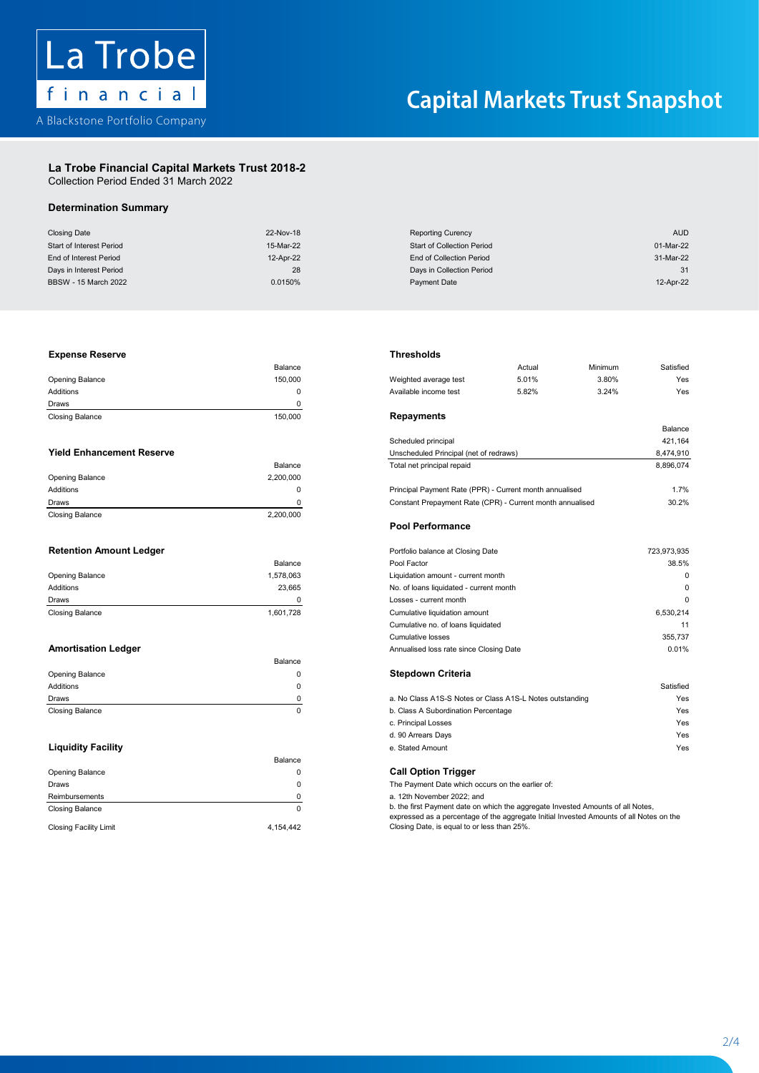

## **La Trobe Financial Capital Markets Trust 2018-2 La Trobe Financial Capital Markets Trust 2018-2**

Collection Period Ended 31 March 2022 Collection Period Ended 31 March 2022

## **Determination Summary Determination Summary La Trobe Financial Capital Markets Trust 2018-2**

| <b>Closing Date</b>      | 22-Nov-18 | <b>Reporting Curency</b>          | <b>AUD</b> |
|--------------------------|-----------|-----------------------------------|------------|
| Start of Interest Period | 15-Mar-22 | <b>Start of Collection Period</b> | 01-Mar-22  |
| End of Interest Period   | 12-Apr-22 | End of Collection Period          | 31-Mar-22  |
| Days in Interest Period  | 28        | Days in Collection Period         |            |
| BBSW - 15 March 2022     | 0.0150%   | Payment Date                      | 12-Apr-22  |

### Additions 0 Available income test 5.82% 3.24% Yes Additions 0 Available income test 5.82% 3.24% Yes **Expense Reserve Thresholds**

| <b>Closing Balance</b> | 150,000 | Repayments       |
|------------------------|---------|------------------|
| Draws                  |         |                  |
| Additions              |         | Available income |
| Opening Balance        | 150.000 | Weighted averag  |
|                        | Balance |                  |

|                        | Balance   |
|------------------------|-----------|
| Opening Balance        | 2,200,000 |
| Additions              | 0         |
| Draws                  | 0         |
| <b>Closing Balance</b> | 2,200,000 |

|                        | <b>DalaHCe</b> |
|------------------------|----------------|
| Opening Balance        | 1,578,063      |
| Additions              | 23.665         |
| Draws                  | ŋ              |
| <b>Closing Balance</b> | 1,601,728      |

|                        | Balance |                                                          |           |
|------------------------|---------|----------------------------------------------------------|-----------|
| Opening Balance        |         | <b>Stepdown Criteria</b>                                 |           |
| Additions              |         |                                                          | Satisfied |
| Draws                  |         | a. No Class A1S-S Notes or Class A1S-L Notes outstanding | Yes       |
| <b>Closing Balance</b> |         | b. Class A Subordination Percentage                      | Yes       |

|                               | Balance   |                                                                                                                                                                            |
|-------------------------------|-----------|----------------------------------------------------------------------------------------------------------------------------------------------------------------------------|
| Opening Balance               |           | <b>Call Option Trigger</b>                                                                                                                                                 |
| Draws                         |           | The Payment Date which occurs on the earlier of:                                                                                                                           |
| Reimbursements                |           | a. 12th November 2022: and                                                                                                                                                 |
| <b>Closing Balance</b>        |           | b. the first Payment date on which the aggregate Invested Amounts of all Notes,<br>expressed as a percentage of the aggregate Initial Invested Amounts of all Notes on the |
| <b>Closing Facility Limit</b> | 4.154.442 | Closing Date, is equal to or less than 25%.                                                                                                                                |

|                                  | Balance        |                                                           | Actual    | Minimum | Satisfied   |
|----------------------------------|----------------|-----------------------------------------------------------|-----------|---------|-------------|
| Opening Balance                  | 150,000        | Weighted average test                                     | 5.01%     | 3.80%   | Yes         |
| <b>Additions</b>                 | $\Omega$       | Available income test                                     | 5.82%     | 3.24%   | Yes         |
| Draws                            | 0              |                                                           |           |         |             |
| <b>Closing Balance</b>           | 150,000        | <b>Repayments</b>                                         |           |         |             |
|                                  |                |                                                           |           |         | Balance     |
|                                  |                | Scheduled principal                                       |           |         | 421,164     |
| <b>Yield Enhancement Reserve</b> |                | Unscheduled Principal (net of redraws)                    | 8,474,910 |         |             |
|                                  | Balance        | Total net principal repaid                                |           |         | 8,896,074   |
| Opening Balance                  | 2,200,000      |                                                           |           |         |             |
| <b>Additions</b>                 | 0              | Principal Payment Rate (PPR) - Current month annualised   | 1.7%      |         |             |
| Draws                            | ŋ              | Constant Prepayment Rate (CPR) - Current month annualised |           |         | 30.2%       |
| <b>Closing Balance</b>           | 2,200,000      |                                                           |           |         |             |
|                                  |                | <b>Pool Performance</b>                                   |           |         |             |
| <b>Retention Amount Ledger</b>   |                | Portfolio balance at Closing Date                         |           |         | 723,973,935 |
|                                  | Balance        | Pool Factor                                               |           |         | 38.5%       |
| Opening Balance                  | 1,578,063      | Liquidation amount - current month                        |           |         | $\Omega$    |
| <b>Additions</b>                 | 23,665         | No. of loans liquidated - current month                   |           |         | 0           |
| Draws                            | 0              | Losses - current month                                    |           |         | 0           |
| <b>Closing Balance</b>           | 1,601,728      | Cumulative liquidation amount                             |           |         | 6,530,214   |
|                                  |                | Cumulative no. of loans liquidated                        |           |         | 11          |
|                                  |                | <b>Cumulative losses</b>                                  |           |         | 355,737     |
| <b>Amortisation Ledger</b>       |                | Annualised loss rate since Closing Date                   |           |         | 0.01%       |
|                                  | <b>Dolongo</b> |                                                           |           |         |             |

| <b>Additions</b>          |                                                          | Satisfied |
|---------------------------|----------------------------------------------------------|-----------|
| Draws                     | a. No Class A1S-S Notes or Class A1S-L Notes outstanding | Yes       |
| Closing Balance           | b. Class A Subordination Percentage                      | Yes       |
|                           | c. Principal Losses                                      | Yes       |
|                           | d. 90 Arrears Days                                       | Yes       |
| <b>Liquidity Facility</b> | e. Stated Amount                                         | Yes       |

2 - 4

2 - 4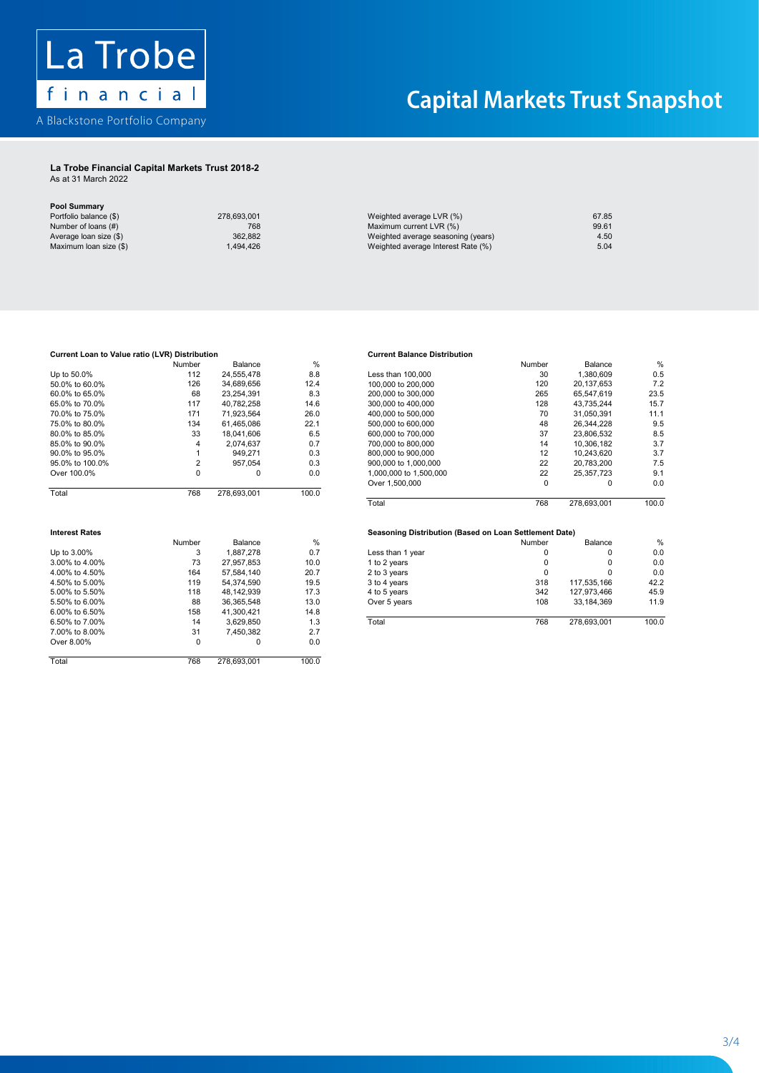

## **La Trobe Financial Capital Markets Trust 2018-2 La Trobe Financial Capital Markets Trust 2018-2**

As at 31 March 2022 As at 31 March 2022

| <b>Pool Summary</b>    |             |                                    |       |
|------------------------|-------------|------------------------------------|-------|
| Portfolio balance (\$) | 278.693.001 | Weighted average LVR (%)           | 67.85 |
| Number of loans (#)    | 768         | Maximum current LVR (%)            | 99.61 |
| Average loan size (\$) | 362.882     | Weighted average seasoning (years) | 4.50  |
| Maximum loan size (\$) | .494.426    | Weighted average Interest Rate (%) | 5.04  |
|                        |             |                                    |       |

| Current Loan to Value ratio (LVR) Distribution |                |             |       | <b>Current Balance Distribution</b>                    |          |             |                 |
|------------------------------------------------|----------------|-------------|-------|--------------------------------------------------------|----------|-------------|-----------------|
|                                                | Number         | Balance     | $\%$  |                                                        | Number   | Balance     | $\frac{1}{2}$   |
| Up to 50.0%                                    | 112            | 24,555,478  | 8.8   | Less than 100,000                                      | 30       | 1,380,609   | 0.5             |
| 50.0% to 60.0%                                 | 126            | 34,689,656  | 12.4  | 100,000 to 200,000                                     | 120      | 20,137,653  | 7.2             |
| 60.0% to 65.0%                                 | 68             | 23,254,391  | 8.3   | 200,000 to 300,000                                     | 265      | 65.547.619  | 23.5            |
| 65.0% to 70.0%                                 | 117            | 40.782.258  | 14.6  | 300,000 to 400,000                                     | 128      | 43.735.244  | 15.7            |
| 70.0% to 75.0%                                 | 171            | 71,923,564  | 26.0  | 400,000 to 500,000                                     | 70       | 31,050,391  | 11.1            |
| 75.0% to 80.0%                                 | 134            | 61,465,086  | 22.1  | 500,000 to 600,000                                     | 48       | 26,344,228  | 9.5             |
| 80.0% to 85.0%                                 | 33             | 18,041,606  | 6.5   | 600,000 to 700,000                                     | 37       | 23,806,532  | 8.5             |
| 85.0% to 90.0%                                 | 4              | 2,074,637   | 0.7   | 700,000 to 800,000                                     | 14       | 10,306,182  | 3.7             |
| 90.0% to 95.0%                                 |                | 949.271     | 0.3   | 800,000 to 900,000                                     | 12       | 10,243,620  | 3.7             |
| 95.0% to 100.0%                                | $\overline{2}$ | 957,054     | 0.3   | 900,000 to 1,000,000                                   | 22       | 20,783,200  | 7.5             |
| Over 100.0%                                    | 0              | 0           | 0.0   | 1.000.000 to 1.500.000                                 | 22       | 25,357,723  | 9.1             |
|                                                |                |             |       | Over 1,500,000                                         | 0        | 0           | 0.0             |
| Total                                          | 768            | 278,693,001 | 100.0 |                                                        |          |             |                 |
|                                                |                |             |       | Total                                                  | 768      | 278,693,001 | 100.0           |
| <b>Interest Rates</b>                          |                |             |       | Seasoning Distribution (Based on Loan Settlement Date) |          |             |                 |
|                                                | Number         | Balance     | %     |                                                        | Number   | Balance     | $\frac{1}{2}$   |
| Up to 3.00%                                    | 3              | 1.887.278   | 0.7   | Less than 1 year                                       | 0        | 0           | 0. <sub>C</sub> |
| 3.00% to 4.00%                                 | 73             | 27.957.853  | 10.0  | 1 to 2 years                                           | 0        | 0           | 0.0             |
| 4.00% to 4.50%                                 | 164            | 57,584,140  | 20.7  | 2 to 3 years                                           | $\Omega$ | $\Omega$    | 0.0             |
| 4.50% to 5.00%                                 | 119            | 54,374,590  | 19.5  | 3 to 4 years                                           | 318      | 117,535,166 | 42.2            |
| 5.00% to 5.50%                                 | 118            | 48,142,939  | 17.3  | 4 to 5 years                                           | 342      | 127,973,466 | 45.9            |
| 5.50% to 6.00%                                 | 88             | 36,365,548  | 13.0  | Over 5 years                                           | 108      | 33,184,369  | 11.9            |
| 6.00% to 6.50%                                 | 158            | 41,300,421  | 14.8  |                                                        |          |             |                 |
| 6.50% to 7.00%                                 | 14             | 3,629,850   | 1.3   | Total                                                  | 768      | 278,693,001 | 100.0           |
| 7.00% to 8.00%                                 | 31             | 7,450,382   | 2.7   |                                                        |          |             |                 |
| Over 8.00%                                     | 0              | 0           | 0.0   |                                                        |          |             |                 |
| Total                                          | 768            | 278,693,001 | 100.0 |                                                        |          |             |                 |

|                 | Number | Balance     | %     |                        | Number | Balance     | %     |
|-----------------|--------|-------------|-------|------------------------|--------|-------------|-------|
| Up to 50.0%     | 112    | 24,555,478  | 8.8   | Less than 100,000      | 30     | 1.380.609   | 0.5   |
| 50.0% to 60.0%  | 126    | 34.689.656  | 12.4  | 100,000 to 200,000     | 120    | 20.137.653  | 7.2   |
| 60.0% to 65.0%  | 68     | 23.254.391  | 8.3   | 200,000 to 300,000     | 265    | 65.547.619  | 23.5  |
| 65.0% to 70.0%  | 117    | 40.782.258  | 14.6  | 300,000 to 400,000     | 128    | 43.735.244  | 15.7  |
| 70.0% to 75.0%  | 171    | 71.923.564  | 26.0  | 400,000 to 500,000     | 70     | 31.050.391  | 11.1  |
| 75.0% to 80.0%  | 134    | 61.465.086  | 22.1  | 500,000 to 600,000     | 48     | 26.344.228  | 9.5   |
| 80.0% to 85.0%  | 33     | 18.041.606  | 6.5   | 600,000 to 700,000     | 37     | 23.806.532  | 8.5   |
| 85.0% to 90.0%  | 4      | 2.074.637   | 0.7   | 700,000 to 800,000     | 14     | 10.306.182  | 3.7   |
| 90.0% to 95.0%  |        | 949.271     | 0.3   | 800,000 to 900,000     | 12     | 10.243.620  | 3.7   |
| 95.0% to 100.0% |        | 957.054     | 0.3   | 900,000 to 1,000,000   | 22     | 20.783.200  | 7.5   |
| Over 100.0%     | 0      |             | 0.0   | 1,000,000 to 1,500,000 | 22     | 25.357.723  | 9.1   |
|                 |        |             |       | Over 1,500,000         |        |             | 0.0   |
| Total           | 768    | 278.693.001 | 100.0 |                        |        |             |       |
|                 |        |             |       | Total                  | 768    | 278.693.001 | 100.0 |

|                | Number | Balance    | %    |                  | Number | Balance     | $\%$  |
|----------------|--------|------------|------|------------------|--------|-------------|-------|
| Up to 3.00%    |        | 1.887.278  | 0.7  | Less than 1 year |        | 0           | 0.0   |
| 3.00% to 4.00% | 73     | 27.957.853 | 10.0 | 1 to 2 years     |        | 0           | 0.0   |
| 4.00% to 4.50% | 164    | 57.584.140 | 20.7 | 2 to 3 years     |        | 0           | 0.0   |
| 4.50% to 5.00% | 119    | 54.374.590 | 19.5 | 3 to 4 years     | 318    | 117.535.166 | 42.2  |
| 5.00% to 5.50% | 118    | 48.142.939 | 17.3 | 4 to 5 years     | 342    | 127.973.466 | 45.9  |
| 5.50% to 6.00% | 88     | 36.365.548 | 13.0 | Over 5 years     | 108    | 33.184.369  | 11.9  |
| 6.00% to 6.50% | 158    | 41.300.421 | 14.8 |                  |        |             |       |
| 6.50% to 7.00% | 14     | 3.629.850  | 1.3  | Total            | 768    | 278.693.001 | 100.0 |
|                |        |            |      |                  |        |             |       |